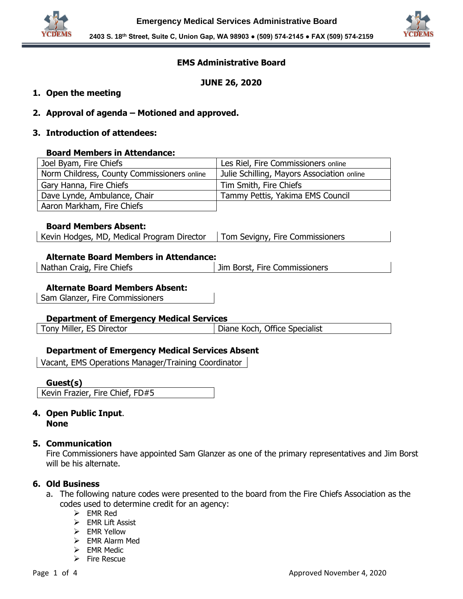



# **EMS Administrative Board**

**JUNE 26, 2020**

# **1. Open the meeting**

**2. Approval of agenda – Motioned and approved.**

# **3. Introduction of attendees:**

#### **Board Members in Attendance:**

| Joel Byam, Fire Chiefs                      | Les Riel, Fire Commissioners online        |
|---------------------------------------------|--------------------------------------------|
| Norm Childress, County Commissioners online | Julie Schilling, Mayors Association online |
| Gary Hanna, Fire Chiefs                     | Tim Smith, Fire Chiefs                     |
| Dave Lynde, Ambulance, Chair                | Tammy Pettis, Yakima EMS Council           |
| Aaron Markham, Fire Chiefs                  |                                            |

#### **Board Members Absent:**

| Kevin Hodges, MD, Medical Program Director | Tom Sevigny, Fire Commissioners |
|--------------------------------------------|---------------------------------|
|                                            |                                 |

#### **Alternate Board Members in Attendance:**

| Nathan Craig, Fire Chiefs | <b>Jim Borst, Fire Commissioners</b> |
|---------------------------|--------------------------------------|
|---------------------------|--------------------------------------|

#### **Alternate Board Members Absent:**

Sam Glanzer, Fire Commissioners

### **Department of Emergency Medical Services**

Tony Miller, ES Director **Diane Koch, Office Specialist** 

# **Department of Emergency Medical Services Absent**

Vacant, EMS Operations Manager/Training Coordinator

### **Guest(s)**

Kevin Frazier, Fire Chief, FD#5

# **4. Open Public Input**. **None**

### **5. Communication**

Fire Commissioners have appointed Sam Glanzer as one of the primary representatives and Jim Borst will be his alternate.

### **6. Old Business**

- a. The following nature codes were presented to the board from the Fire Chiefs Association as the codes used to determine credit for an agency:
	- ➢ EMR Red
	- ➢ EMR Lift Assist
	- ➢ EMR Yellow
	- ➢ EMR Alarm Med
	- ➢ EMR Medic
	- ➢ Fire Rescue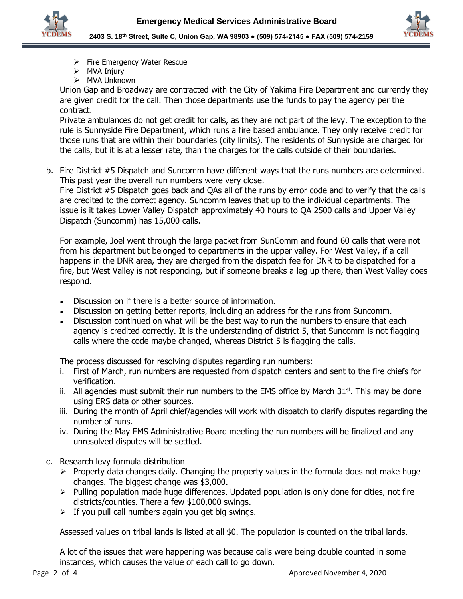

**2403 S. 18th Street, Suite C, Union Gap, WA 98903 ● (509) 574-2145 ● FAX (509) 574-2159**

- ➢ Fire Emergency Water Rescue
- ➢ MVA Injury
- ➢ MVA Unknown

Union Gap and Broadway are contracted with the City of Yakima Fire Department and currently they are given credit for the call. Then those departments use the funds to pay the agency per the contract.

Private ambulances do not get credit for calls, as they are not part of the levy. The exception to the rule is Sunnyside Fire Department, which runs a fire based ambulance. They only receive credit for those runs that are within their boundaries (city limits). The residents of Sunnyside are charged for the calls, but it is at a lesser rate, than the charges for the calls outside of their boundaries.

b. Fire District #5 Dispatch and Suncomm have different ways that the runs numbers are determined. This past year the overall run numbers were very close.

Fire District #5 Dispatch goes back and QAs all of the runs by error code and to verify that the calls are credited to the correct agency. Suncomm leaves that up to the individual departments. The issue is it takes Lower Valley Dispatch approximately 40 hours to QA 2500 calls and Upper Valley Dispatch (Suncomm) has 15,000 calls.

For example, Joel went through the large packet from SunComm and found 60 calls that were not from his department but belonged to departments in the upper valley. For West Valley, if a call happens in the DNR area, they are charged from the dispatch fee for DNR to be dispatched for a fire, but West Valley is not responding, but if someone breaks a leg up there, then West Valley does respond.

- Discussion on if there is a better source of information.
- Discussion on getting better reports, including an address for the runs from Suncomm.
- Discussion continued on what will be the best way to run the numbers to ensure that each agency is credited correctly. It is the understanding of district 5, that Suncomm is not flagging calls where the code maybe changed, whereas District 5 is flagging the calls.

The process discussed for resolving disputes regarding run numbers:

- i. First of March, run numbers are requested from dispatch centers and sent to the fire chiefs for verification.
- ii. All agencies must submit their run numbers to the EMS office by March  $31<sup>st</sup>$ . This may be done using ERS data or other sources.
- iii. During the month of April chief/agencies will work with dispatch to clarify disputes regarding the number of runs.
- iv. During the May EMS Administrative Board meeting the run numbers will be finalized and any unresolved disputes will be settled.
- c. Research levy formula distribution
	- $\triangleright$  Property data changes daily. Changing the property values in the formula does not make huge changes. The biggest change was \$3,000.
	- $\triangleright$  Pulling population made huge differences. Updated population is only done for cities, not fire districts/counties. There a few \$100,000 swings.
	- $\triangleright$  If you pull call numbers again you get big swings.

Assessed values on tribal lands is listed at all \$0. The population is counted on the tribal lands.

A lot of the issues that were happening was because calls were being double counted in some instances, which causes the value of each call to go down.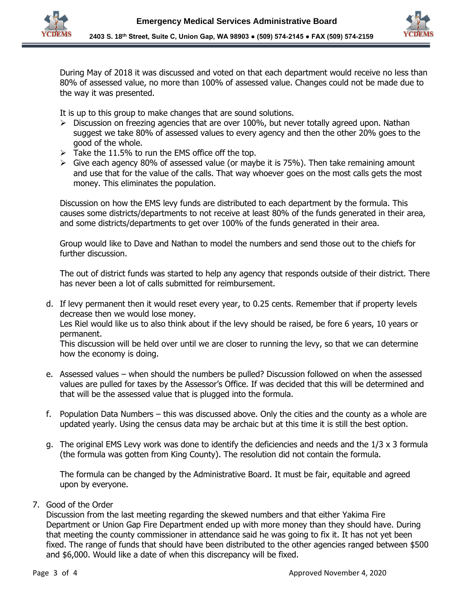



During May of 2018 it was discussed and voted on that each department would receive no less than 80% of assessed value, no more than 100% of assessed value. Changes could not be made due to the way it was presented.

It is up to this group to make changes that are sound solutions.

- $\triangleright$  Discussion on freezing agencies that are over 100%, but never totally agreed upon. Nathan suggest we take 80% of assessed values to every agency and then the other 20% goes to the good of the whole.
- $\triangleright$  Take the 11.5% to run the EMS office off the top.
- ➢ Give each agency 80% of assessed value (or maybe it is 75%). Then take remaining amount and use that for the value of the calls. That way whoever goes on the most calls gets the most money. This eliminates the population.

Discussion on how the EMS levy funds are distributed to each department by the formula. This causes some districts/departments to not receive at least 80% of the funds generated in their area, and some districts/departments to get over 100% of the funds generated in their area.

Group would like to Dave and Nathan to model the numbers and send those out to the chiefs for further discussion.

The out of district funds was started to help any agency that responds outside of their district. There has never been a lot of calls submitted for reimbursement.

d. If levy permanent then it would reset every year, to 0.25 cents. Remember that if property levels decrease then we would lose money.

Les Riel would like us to also think about if the levy should be raised, be fore 6 years, 10 years or permanent.

This discussion will be held over until we are closer to running the levy, so that we can determine how the economy is doing.

- e. Assessed values when should the numbers be pulled? Discussion followed on when the assessed values are pulled for taxes by the Assessor's Office. If was decided that this will be determined and that will be the assessed value that is plugged into the formula.
- f. Population Data Numbers this was discussed above. Only the cities and the county as a whole are updated yearly. Using the census data may be archaic but at this time it is still the best option.
- g. The original EMS Levy work was done to identify the deficiencies and needs and the 1/3 x 3 formula (the formula was gotten from King County). The resolution did not contain the formula.

The formula can be changed by the Administrative Board. It must be fair, equitable and agreed upon by everyone.

# 7. Good of the Order

Discussion from the last meeting regarding the skewed numbers and that either Yakima Fire Department or Union Gap Fire Department ended up with more money than they should have. During that meeting the county commissioner in attendance said he was going to fix it. It has not yet been fixed. The range of funds that should have been distributed to the other agencies ranged between \$500 and \$6,000. Would like a date of when this discrepancy will be fixed.